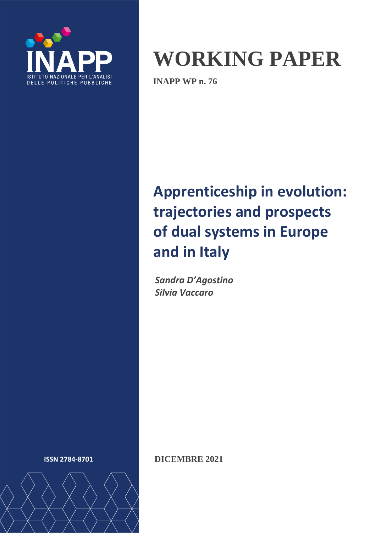

# **WORKING PAPER**

**INAPP WP n. 76**

# **Apprenticeship in evolution: trajectories and prospects of dual systems in Europe and in Italy**

*Sandra D'Agostino Silvia Vaccaro*



**ISSN 2784-8701 DICEMBRE 2021**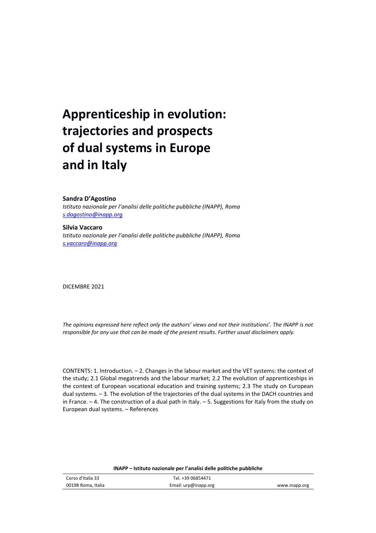## **Apprenticeship in evolution: trajectories and prospects of dual systems in Europe and in Italy**

#### **Sandra D'Agostino**

*Istituto nazionale per l'analisi delle politiche pubbliche (INAPP), Roma [s.dagostino@inapp.org](mailto:s.dagostino@inapp.org)*

#### **Silvia Vaccaro**

*Istituto nazionale per l'analisi delle politiche pubbliche (INAPP), Roma [s.vaccaro@inapp.org](mailto:s.vaccaro@inapp.org)*

DICEMBRE 2021

*The opinions expressed here reflect only the authors' views and not their institutions'. The INAPP is not responsible for any use that can be made of the present results. Further usual disclaimers apply.*

CONTENTS: 1. Introduction. – 2. Changes in the labour market and the VET systems: the context of the study; 2.1 Global megatrends and the labour market; 2.2 The evolution of apprenticeships in the context of European vocational education and training systems; 2.3 The study on European dual systems. – 3. The evolution of the trajectories of the dual systems in the DACH countries and in France. – 4. The construction of a dual path in Italy. – 5. Suggestions for Italy from the study on European dual systems. – References

| INAPP – Istituto nazionale per l'analisi delle politiche pubbliche |                               |               |  |  |  |  |
|--------------------------------------------------------------------|-------------------------------|---------------|--|--|--|--|
| Corso d'Italia 33                                                  | Tel. +39 06854471             |               |  |  |  |  |
| 00198 Roma. Italia                                                 | Email: $\text{urp@inapp.org}$ | www.inapp.org |  |  |  |  |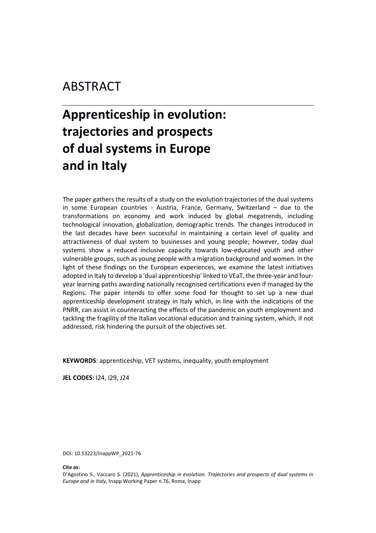## ABSTRACT

## **Apprenticeship in evolution: trajectories and prospects of dual systems in Europe and in Italy**

The paper gathers the results of a study on the evolution trajectories of the dual systems in some European countries - Austria, France, Germany, Switzerland – due to the transformations on economy and work induced by global megatrends, including technological innovation, globalization, demographic trends. The changes introduced in the last decades have been successful in maintaining a certain level of quality and attractiveness of dual system to businesses and young people; however, today dual systems show a reduced inclusive capacity towards low-educated youth and other vulnerable groups, such as young people with a migration background and women. In the light of these findings on the European experiences, we examine the latest initiatives adopted in Italy to develop a 'dual apprenticeship' linked to VEaT, the three-year and fouryear learning paths awarding nationally recognised certifications even if managed by the Regions. The paper intends to offer some food for thought to set up a new dual apprenticeship development strategy in Italy which, in line with the indications of the PNRR, can assist in counteracting the effects of the pandemic on youth employment and tackling the fragility of the Italian vocational education and training system, which, if not addressed, risk hindering the pursuit of the objectives set.

**KEYWORDS**: apprenticeship, VET systems, inequality, youth employment

**JEL CODES**: I24, I29, J24

DOI: 10.53223/InappWP\_2021-76

**Cite as:**

D'Agostino S., Vaccaro S. (2021), *Apprenticeship in evolution. Trajectories and prospects of dual systems in Europe and in Italy,* Inapp Working Paper n.76, Roma, Inapp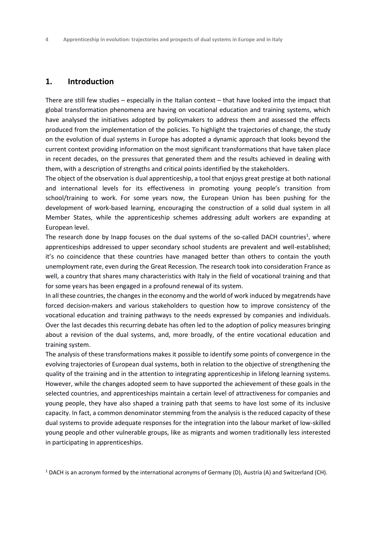#### **1. Introduction**

There are still few studies – especially in the Italian context – that have looked into the impact that global transformation phenomena are having on vocational education and training systems, which have analysed the initiatives adopted by policymakers to address them and assessed the effects produced from the implementation of the policies. To highlight the trajectories of change, the study on the evolution of dual systems in Europe has adopted a dynamic approach that looks beyond the current context providing information on the most significant transformations that have taken place in recent decades, on the pressures that generated them and the results achieved in dealing with them, with a description of strengths and critical points identified by the stakeholders.

The object of the observation is dual apprenticeship, a tool that enjoys great prestige at both national and international levels for its effectiveness in promoting young people's transition from school/training to work. For some years now, the European Union has been pushing for the development of work-based learning, encouraging the construction of a solid dual system in all Member States, while the apprenticeship schemes addressing adult workers are expanding at European level.

The research done by Inapp focuses on the dual systems of the so-called DACH countries<sup>1</sup>, where apprenticeships addressed to upper secondary school students are prevalent and well-established; it's no coincidence that these countries have managed better than others to contain the youth unemployment rate, even during the Great Recession. The research took into consideration France as well, a country that shares many characteristics with Italy in the field of vocational training and that for some years has been engaged in a profound renewal of its system.

In all these countries, the changes in the economy and the world of work induced by megatrends have forced decision-makers and various stakeholders to question how to improve consistency of the vocational education and training pathways to the needs expressed by companies and individuals. Over the last decades this recurring debate has often led to the adoption of policy measures bringing about a revision of the dual systems, and, more broadly, of the entire vocational education and training system.

The analysis of these transformations makes it possible to identify some points of convergence in the evolving trajectories of European dual systems, both in relation to the objective of strengthening the quality of the training and in the attention to integrating apprenticeship in lifelong learning systems. However, while the changes adopted seem to have supported the achievement of these goals in the selected countries, and apprenticeships maintain a certain level of attractiveness for companies and young people, they have also shaped a training path that seems to have lost some of its inclusive capacity. In fact, a common denominator stemming from the analysis is the reduced capacity of these dual systems to provide adequate responses for the integration into the labour market of low-skilled young people and other vulnerable groups, like as migrants and women traditionally less interested in participating in apprenticeships.

<sup>1</sup> DACH is an acronym formed by the international acronyms of Germany (D), Austria (A) and Switzerland (CH).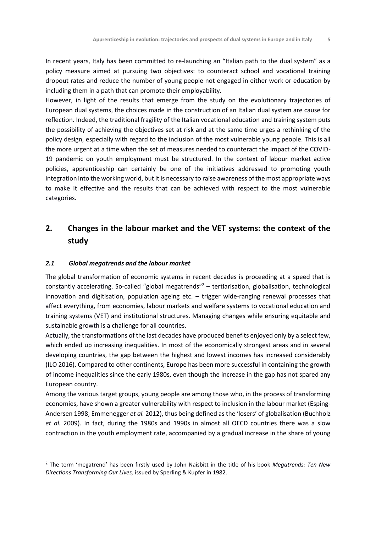In recent years, Italy has been committed to re-launching an "Italian path to the dual system" as a policy measure aimed at pursuing two objectives: to counteract school and vocational training dropout rates and reduce the number of young people not engaged in either work or education by including them in a path that can promote their employability.

However, in light of the results that emerge from the study on the evolutionary trajectories of European dual systems, the choices made in the construction of an Italian dual system are cause for reflection. Indeed, the traditional fragility of the Italian vocational education and training system puts the possibility of achieving the objectives set at risk and at the same time urges a rethinking of the policy design, especially with regard to the inclusion of the most vulnerable young people. This is all the more urgent at a time when the set of measures needed to counteract the impact of the COVID-19 pandemic on youth employment must be structured. In the context of labour market active policies, apprenticeship can certainly be one of the initiatives addressed to promoting youth integration into the working world, but it is necessary to raise awareness of the most appropriate ways to make it effective and the results that can be achieved with respect to the most vulnerable categories.

### **2. Changes in the labour market and the VET systems: the context of the study**

#### *2.1 Global megatrends and the labour market*

The global transformation of economic systems in recent decades is proceeding at a speed that is constantly accelerating. So-called "global megatrends"<sup>2</sup> – tertiarisation, globalisation, technological innovation and digitisation, population ageing etc. – trigger wide-ranging renewal processes that affect everything, from economies, labour markets and welfare systems to vocational education and training systems (VET) and institutional structures. Managing changes while ensuring equitable and sustainable growth is a challenge for all countries.

Actually, the transformations of the last decades have produced benefits enjoyed only by a select few, which ended up increasing inequalities. In most of the economically strongest areas and in several developing countries, the gap between the highest and lowest incomes has increased considerably (ILO 2016). Compared to other continents, Europe has been more successful in containing the growth of income inequalities since the early 1980s, even though the increase in the gap has not spared any European country.

Among the various target groups, young people are among those who, in the process of transforming economies, have shown a greater vulnerability with respect to inclusion in the labour market (Esping-Andersen 1998; Emmenegger *et al.* 2012), thus being defined as the 'losers' of globalisation (Buchholz *et al.* 2009). In fact, during the 1980s and 1990s in almost all OECD countries there was a slow contraction in the youth employment rate, accompanied by a gradual increase in the share of young

<sup>2</sup> The term 'megatrend' has been firstly used by John Naisbitt in the title of his book *Megatrends: Ten New Directions Transforming Our Lives,* issued by Sperling & Kupfer in 1982.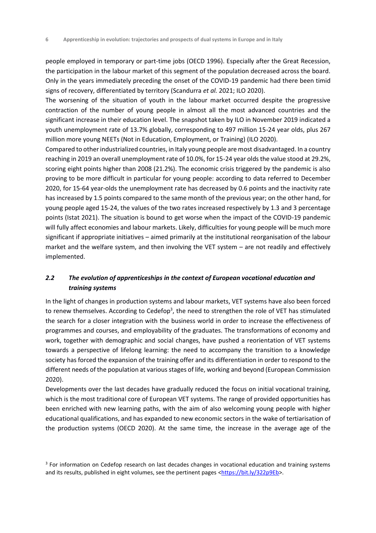people employed in temporary or part-time jobs (OECD 1996). Especially after the Great Recession, the participation in the labour market of this segment of the population decreased across the board. Only in the years immediately preceding the onset of the COVID-19 pandemic had there been timid signs of recovery, differentiated by territory (Scandurra *et al.* 2021; ILO 2020).

The worsening of the situation of youth in the labour market occurred despite the progressive contraction of the number of young people in almost all the most advanced countries and the significant increase in their education level. The snapshot taken by ILO in November 2019 indicated a youth unemployment rate of 13.7% globally, corresponding to 497 million 15-24 year olds, plus 267 million more young NEETs (Not in Education, Employment, or Training) (ILO 2020).

Compared to other industrialized countries, in Italy young people are most disadvantaged. In a country reaching in 2019 an overall unemployment rate of 10.0%, for 15-24 year olds the value stood at 29.2%, scoring eight points higher than 2008 (21.2%). The economic crisis triggered by the pandemic is also proving to be more difficult in particular for young people: according to data referred to December 2020, for 15-64 year-olds the unemployment rate has decreased by 0.6 points and the inactivity rate has increased by 1.5 points compared to the same month of the previous year; on the other hand, for young people aged 15-24, the values of the two rates increased respectively by 1.3 and 3 percentage points (Istat 2021). The situation is bound to get worse when the impact of the COVID-19 pandemic will fully affect economies and labour markets. Likely, difficulties for young people will be much more significant if appropriate initiatives – aimed primarily at the institutional reorganisation of the labour market and the welfare system, and then involving the VET system – are not readily and effectively implemented.

#### *2.2 The evolution of apprenticeships in the context of European vocational education and training systems*

In the light of changes in production systems and labour markets, VET systems have also been forced to renew themselves. According to Cedefop<sup>3</sup>, the need to strengthen the role of VET has stimulated the search for a closer integration with the business world in order to increase the effectiveness of programmes and courses, and employability of the graduates. The transformations of economy and work, together with demographic and social changes, have pushed a reorientation of VET systems towards a perspective of lifelong learning: the need to accompany the transition to a knowledge society has forced the expansion of the training offer and its differentiation in order to respond to the different needs of the population at various stages of life, working and beyond (European Commission 2020).

Developments over the last decades have gradually reduced the focus on initial vocational training, which is the most traditional core of European VET systems. The range of provided opportunities has been enriched with new learning paths, with the aim of also welcoming young people with higher educational qualifications, and has expanded to new economic sectors in the wake of tertiarisation of the production systems (OECD 2020). At the same time, the increase in the average age of the

<sup>&</sup>lt;sup>3</sup> For information on Cedefop research on last decades changes in vocational education and training systems and its results, published in eight volumes, see the pertinent pages [<https://bit.ly/322p9Eb>](https://bit.ly/322p9Eb).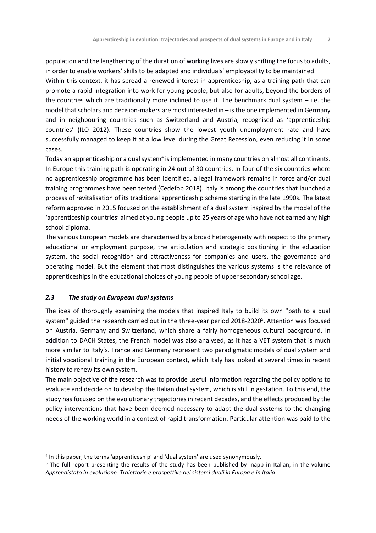population and the lengthening of the duration of working lives are slowly shifting the focus to adults, in order to enable workers' skills to be adapted and individuals' employability to be maintained. Within this context, it has spread a renewed interest in apprenticeship, as a training path that can promote a rapid integration into work for young people, but also for adults, beyond the borders of the countries which are traditionally more inclined to use it. The benchmark dual system – i.e. the model that scholars and decision-makers are most interested in – is the one implemented in Germany and in neighbouring countries such as Switzerland and Austria, recognised as 'apprenticeship countries' (ILO 2012). These countries show the lowest youth unemployment rate and have successfully managed to keep it at a low level during the Great Recession, even reducing it in some cases.

Today an apprenticeship or a dual system $^4$  is implemented in many countries on almost all continents. In Europe this training path is operating in 24 out of 30 countries. In four of the six countries where no apprenticeship programme has been identified, a legal framework remains in force and/or dual training programmes have been tested (Cedefop 2018). Italy is among the countries that launched a process of revitalisation of its traditional apprenticeship scheme starting in the late 1990s. The latest reform approved in 2015 focused on the establishment of a dual system inspired by the model of the 'apprenticeship countries' aimed at young people up to 25 years of age who have not earned any high school diploma.

The various European models are characterised by a broad heterogeneity with respect to the primary educational or employment purpose, the articulation and strategic positioning in the education system, the social recognition and attractiveness for companies and users, the governance and operating model. But the element that most distinguishes the various systems is the relevance of apprenticeships in the educational choices of young people of upper secondary school age.

#### *2.3 The study on European dual systems*

The idea of thoroughly examining the models that inspired Italy to build its own "path to a dual system" guided the research carried out in the three-year period 2018-2020<sup>5</sup>. Attention was focused on Austria, Germany and Switzerland, which share a fairly homogeneous cultural background. In addition to DACH States, the French model was also analysed, as it has a VET system that is much more similar to Italy's. France and Germany represent two paradigmatic models of dual system and initial vocational training in the European context, which Italy has looked at several times in recent history to renew its own system.

The main objective of the research was to provide useful information regarding the policy options to evaluate and decide on to develop the Italian dual system, which is still in gestation. To this end, the study has focused on the evolutionary trajectories in recent decades, and the effects produced by the policy interventions that have been deemed necessary to adapt the dual systems to the changing needs of the working world in a context of rapid transformation. Particular attention was paid to the

<sup>4</sup> In this paper, the terms 'apprenticeship' and 'dual system' are used synonymously.

<sup>&</sup>lt;sup>5</sup> The full report presenting the results of the study has been published by Inapp in Italian, in the volume *Apprendistato in evoluzione. Traiettorie e prospettive dei sistemi duali in Europa e in Italia*.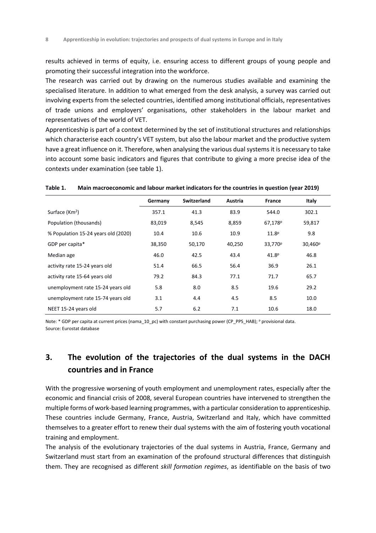results achieved in terms of equity, i.e. ensuring access to different groups of young people and promoting their successful integration into the workforce.

The research was carried out by drawing on the numerous studies available and examining the specialised literature. In addition to what emerged from the desk analysis, a survey was carried out involving experts from the selected countries, identified among institutional officials, representatives of trade unions and employers' organisations, other stakeholders in the labour market and representatives of the world of VET.

Apprenticeship is part of a context determined by the set of institutional structures and relationships which characterise each country's VET system, but also the labour market and the productive system have a great influence on it. Therefore, when analysing the various dual systems it is necessary to take into account some basic indicators and figures that contribute to giving a more precise idea of the contexts under examination (see table 1).

|                                     | Germany | <b>Switzerland</b> | Austria | France              | Italy               |
|-------------------------------------|---------|--------------------|---------|---------------------|---------------------|
| Surface (Km <sup>2</sup> )          | 357.1   | 41.3               | 83.9    | 544.0               | 302.1               |
| Population (thousands)              | 83,019  | 8,545              | 8,859   | 67,178 <sup>p</sup> | 59,817              |
| % Population 15-24 years old (2020) | 10.4    | 10.6               | 10.9    | 11.8 <sup>p</sup>   | 9.8                 |
| GDP per capita*                     | 38,350  | 50,170             | 40,250  | 33,770 <sup>p</sup> | 30,460 <sup>p</sup> |
| Median age                          | 46.0    | 42.5               | 43.4    | 41.8 <sup>p</sup>   | 46.8                |
| activity rate 15-24 years old       | 51.4    | 66.5               | 56.4    | 36.9                | 26.1                |
| activity rate 15-64 years old       | 79.2    | 84.3               | 77.1    | 71.7                | 65.7                |
| unemployment rate 15-24 years old   | 5.8     | 8.0                | 8.5     | 19.6                | 29.2                |
| unemployment rate 15-74 years old   | 3.1     | 4.4                | 4.5     | 8.5                 | 10.0                |
| NEET 15-24 years old                | 5.7     | 6.2                | 7.1     | 10.6                | 18.0                |

#### **Table 1. Main macroeconomic and labour market indicators for the countries in question (year 2019)**

Note: \* GDP per capita at current prices (nama\_10\_pc) with constant purchasing power (CP\_PPS\_HAB); P provisional data. Source: Eurostat database

### **3. The evolution of the trajectories of the dual systems in the DACH countries and in France**

With the progressive worsening of youth employment and unemployment rates, especially after the economic and financial crisis of 2008, several European countries have intervened to strengthen the multiple forms of work-based learning programmes, with a particular consideration to apprenticeship. These countries include Germany, France, Austria, Switzerland and Italy, which have committed themselves to a greater effort to renew their dual systems with the aim of fostering youth vocational training and employment.

The analysis of the evolutionary trajectories of the dual systems in Austria, France, Germany and Switzerland must start from an examination of the profound structural differences that distinguish them. They are recognised as different *skill formation regimes*, as identifiable on the basis of two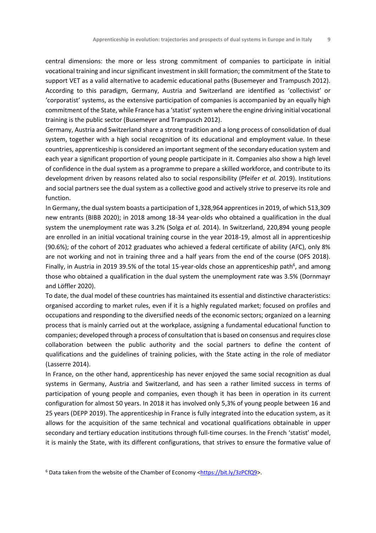central dimensions: the more or less strong commitment of companies to participate in initial vocational training and incur significant investment in skill formation; the commitment of the State to support VET as a valid alternative to academic educational paths (Busemeyer and Trampusch 2012). According to this paradigm, Germany, Austria and Switzerland are identified as 'collectivist' or 'corporatist' systems, as the extensive participation of companies is accompanied by an equally high commitment of the State, while France has a 'statist'system where the engine driving initial vocational training is the public sector (Busemeyer and Trampusch 2012).

Germany, Austria and Switzerland share a strong tradition and a long process of consolidation of dual system, together with a high social recognition of its educational and employment value. In these countries, apprenticeship is considered an important segment of the secondary education system and each year a significant proportion of young people participate in it. Companies also show a high level of confidence in the dual system as a programme to prepare a skilled workforce, and contribute to its development driven by reasons related also to social responsibility (Pfeifer *et al.* 2019). Institutions and social partners see the dual system as a collective good and actively strive to preserve its role and function.

In Germany, the dual system boasts a participation of 1,328,964 apprentices in 2019, of which 513,309 new entrants (BIBB 2020); in 2018 among 18-34 year-olds who obtained a qualification in the dual system the unemployment rate was 3.2% (Solga *et al.* 2014). In Switzerland, 220,894 young people are enrolled in an initial vocational training course in the year 2018-19, almost all in apprenticeship (90.6%); of the cohort of 2012 graduates who achieved a federal certificate of ability (AFC), only 8% are not working and not in training three and a half years from the end of the course (OFS 2018). Finally, in Austria in 2019 39.5% of the total 15-year-olds chose an apprenticeship path<sup>6</sup>, and among those who obtained a qualification in the dual system the unemployment rate was 3.5% (Dornmayr and Löffler 2020).

To date, the dual model of these countries has maintained its essential and distinctive characteristics: organised according to market rules, even if it is a highly regulated market; focused on profiles and occupations and responding to the diversified needs of the economic sectors; organized on a learning process that is mainly carried out at the workplace, assigning a fundamental educational function to companies; developed through a process of consultation that is based on consensus and requires close collaboration between the public authority and the social partners to define the content of qualifications and the guidelines of training policies, with the State acting in the role of mediator (Lasserre 2014).

In France, on the other hand, apprenticeship has never enjoyed the same social recognition as dual systems in Germany, Austria and Switzerland, and has seen a rather limited success in terms of participation of young people and companies, even though it has been in operation in its current configuration for almost 50 years. In 2018 it has involved only 5,3% of young people between 16 and 25 years (DEPP 2019). The apprenticeship in France is fully integrated into the education system, as it allows for the acquisition of the same technical and vocational qualifications obtainable in upper secondary and tertiary education institutions through full-time courses. In the French 'statist' model, it is mainly the State, with its different configurations, that strives to ensure the formative value of

<sup>&</sup>lt;sup>6</sup> Data taken from the website of the Chamber of Economy [<https://bit.ly/3zPCfQ9>](https://bit.ly/3zPCfQ9).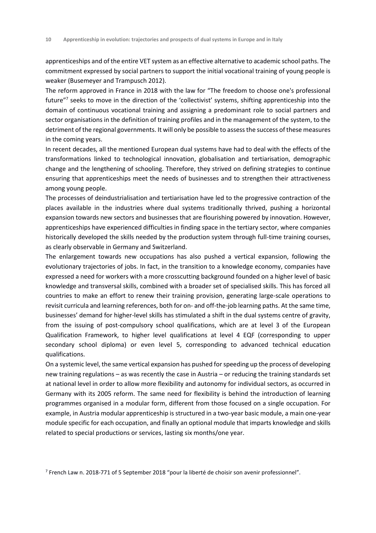apprenticeships and of the entire VET system as an effective alternative to academic school paths. The commitment expressed by social partners to support the initial vocational training of young people is weaker (Busemeyer and Trampusch 2012).

The reform approved in France in 2018 with the law for "The freedom to choose one's professional future"<sup>7</sup> seeks to move in the direction of the 'collectivist' systems, shifting apprenticeship into the domain of continuous vocational training and assigning a predominant role to social partners and sector organisations in the definition of training profiles and in the management of the system, to the detriment of the regional governments. It will only be possible to assess the success of these measures in the coming years.

In recent decades, all the mentioned European dual systems have had to deal with the effects of the transformations linked to technological innovation, globalisation and tertiarisation, demographic change and the lengthening of schooling. Therefore, they strived on defining strategies to continue ensuring that apprenticeships meet the needs of businesses and to strengthen their attractiveness among young people.

The processes of deindustrialisation and tertiarisation have led to the progressive contraction of the places available in the industries where dual systems traditionally thrived, pushing a horizontal expansion towards new sectors and businesses that are flourishing powered by innovation. However, apprenticeships have experienced difficulties in finding space in the tertiary sector, where companies historically developed the skills needed by the production system through full-time training courses, as clearly observable in Germany and Switzerland.

The enlargement towards new occupations has also pushed a vertical expansion, following the evolutionary trajectories of jobs. In fact, in the transition to a knowledge economy, companies have expressed a need for workers with a more crosscutting background founded on a higher level of basic knowledge and transversal skills, combined with a broader set of specialised skills. This has forced all countries to make an effort to renew their training provision, generating large-scale operations to revisit curricula and learning references, both for on- and off-the-job learning paths. At the same time, businesses' demand for higher-level skills has stimulated a shift in the dual systems centre of gravity, from the issuing of post-compulsory school qualifications, which are at level 3 of the European Qualification Framework, to higher level qualifications at level 4 EQF (corresponding to upper secondary school diploma) or even level 5, corresponding to advanced technical education qualifications.

On a systemic level, the same vertical expansion has pushed for speeding up the process of developing new training regulations – as was recently the case in Austria – or reducing the training standards set at national level in order to allow more flexibility and autonomy for individual sectors, as occurred in Germany with its 2005 reform. The same need for flexibility is behind the introduction of learning programmes organised in a modular form, different from those focused on a single occupation. For example, in Austria modular apprenticeship is structured in a two-year basic module, a main one-year module specific for each occupation, and finally an optional module that imparts knowledge and skills related to special productions or services, lasting six months/one year.

 $^7$  French Law n. 2018-771 of 5 September 2018 "pour la liberté de choisir son avenir professionnel".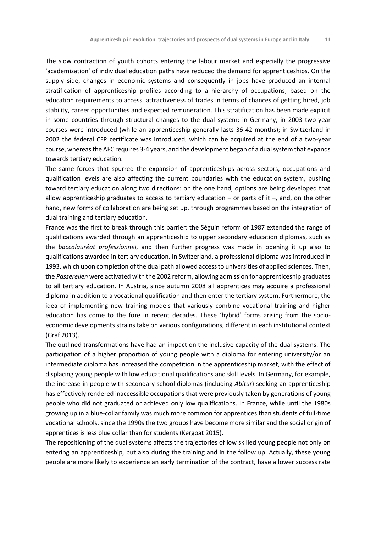The slow contraction of youth cohorts entering the labour market and especially the progressive 'academization' of individual education paths have reduced the demand for apprenticeships. On the supply side, changes in economic systems and consequently in jobs have produced an internal stratification of apprenticeship profiles according to a hierarchy of occupations, based on the education requirements to access, attractiveness of trades in terms of chances of getting hired, job stability, career opportunities and expected remuneration. This stratification has been made explicit in some countries through structural changes to the dual system: in Germany, in 2003 two-year courses were introduced (while an apprenticeship generally lasts 36-42 months); in Switzerland in 2002 the federal CFP certificate was introduced, which can be acquired at the end of a two-year course, whereas the AFC requires 3-4 years, and the development began of a dual system that expands towards tertiary education.

The same forces that spurred the expansion of apprenticeships across sectors, occupations and qualification levels are also affecting the current boundaries with the education system, pushing toward tertiary education along two directions: on the one hand, options are being developed that allow apprenticeship graduates to access to tertiary education  $-$  or parts of it  $-$ , and, on the other hand, new forms of collaboration are being set up, through programmes based on the integration of dual training and tertiary education.

France was the first to break through this barrier: the Séguin reform of 1987 extended the range of qualifications awarded through an apprenticeship to upper secondary education diplomas, such as the *baccalauréat professionnel*, and then further progress was made in opening it up also to qualifications awarded in tertiary education. In Switzerland, a professional diploma was introduced in 1993, which upon completion of the dual path allowed access to universities of applied sciences. Then, the *Passerellen* were activated with the 2002 reform, allowing admission for apprenticeship graduates to all tertiary education. In Austria, since autumn 2008 all apprentices may acquire a professional diploma in addition to a vocational qualification and then enter the tertiary system. Furthermore, the idea of implementing new training models that variously combine vocational training and higher education has come to the fore in recent decades. These 'hybrid' forms arising from the socioeconomic developments strains take on various configurations, different in each institutional context (Graf 2013).

The outlined transformations have had an impact on the inclusive capacity of the dual systems. The participation of a higher proportion of young people with a diploma for entering university/or an intermediate diploma has increased the competition in the apprenticeship market, with the effect of displacing young people with low educational qualifications and skill levels. In Germany, for example, the increase in people with secondary school diplomas (including *Abitur*) seeking an apprenticeship has effectively rendered inaccessible occupations that were previously taken by generations of young people who did not graduated or achieved only low qualifications. In France, while until the 1980s growing up in a blue-collar family was much more common for apprentices than students of full-time vocational schools, since the 1990s the two groups have become more similar and the social origin of apprentices is less blue collar than for students (Kergoat 2015).

The repositioning of the dual systems affects the trajectories of low skilled young people not only on entering an apprenticeship, but also during the training and in the follow up. Actually, these young people are more likely to experience an early termination of the contract, have a lower success rate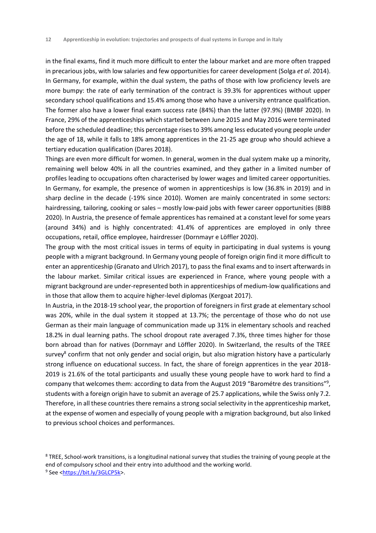in the final exams, find it much more difficult to enter the labour market and are more often trapped in precarious jobs, with low salaries and few opportunities for career development (Solga *et al*. 2014). In Germany, for example, within the dual system, the paths of those with low proficiency levels are more bumpy: the rate of early termination of the contract is 39.3% for apprentices without upper secondary school qualifications and 15.4% among those who have a university entrance qualification. The former also have a lower final exam success rate (84%) than the latter (97.9%) (BMBF 2020). In France, 29% of the apprenticeships which started between June 2015 and May 2016 were terminated before the scheduled deadline; this percentage rises to 39% among less educated young people under the age of 18, while it falls to 18% among apprentices in the 21-25 age group who should achieve a tertiary education qualification (Dares 2018).

Things are even more difficult for women. In general, women in the dual system make up a minority, remaining well below 40% in all the countries examined, and they gather in a limited number of profiles leading to occupations often characterised by lower wages and limited career opportunities. In Germany, for example, the presence of women in apprenticeships is low (36.8% in 2019) and in sharp decline in the decade (-19% since 2010). Women are mainly concentrated in some sectors: hairdressing, tailoring, cooking or sales – mostly low-paid jobs with fewer career opportunities (BIBB 2020). In Austria, the presence of female apprentices has remained at a constant level for some years (around 34%) and is highly concentrated: 41.4% of apprentices are employed in only three occupations, retail, office employee, hairdresser (Dornmayr e Löffler 2020).

The group with the most critical issues in terms of equity in participating in dual systems is young people with a migrant background. In Germany young people of foreign origin find it more difficult to enter an apprenticeship (Granato and Ulrich 2017), to pass the final exams and to insert afterwards in the labour market. Similar critical issues are experienced in France, where young people with a migrant background are under-represented both in apprenticeships of medium-low qualifications and in those that allow them to acquire higher-level diplomas (Kergoat 2017).

In Austria, in the 2018-19 school year, the proportion of foreigners in first grade at elementary school was 20%, while in the dual system it stopped at 13.7%; the percentage of those who do not use German as their main language of communication made up 31% in elementary schools and reached 18.2% in dual learning paths. The school dropout rate averaged 7.3%, three times higher for those born abroad than for natives (Dornmayr and Löffler 2020). In Switzerland, the results of the TREE survey<sup>8</sup> confirm that not only gender and social origin, but also migration history have a particularly strong influence on educational success. In fact, the share of foreign apprentices in the year 2018- 2019 is 21.6% of the total participants and usually these young people have to work hard to find a company that welcomes them: according to data from the August 2019 "Barométre des transitions"<sup>9</sup>, students with a foreign origin have to submit an average of 25.7 applications, while the Swiss only 7.2. Therefore, in all these countries there remains a strong social selectivity in the apprenticeship market, at the expense of women and especially of young people with a migration background, but also linked to previous school choices and performances.

<sup>&</sup>lt;sup>8</sup> TREE, School-work transitions, is a longitudinal national survey that studies the training of young people at the end of compulsory school and their entry into adulthood and the working world. <sup>9</sup> See <<u>https://bit.ly/3GLCP5k</u>>.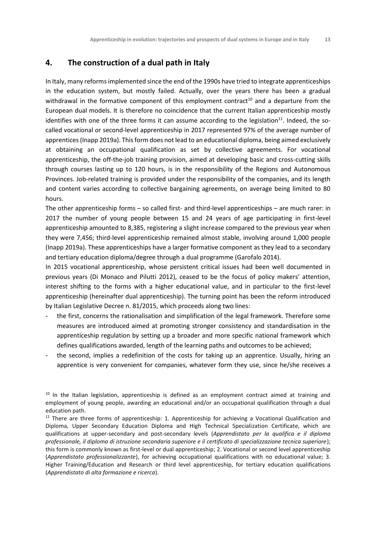#### **4. The construction of a dual path in Italy**

In Italy, many reforms implemented since the end of the 1990s have tried to integrate apprenticeships in the education system, but mostly failed. Actually, over the years there has been a gradual withdrawal in the formative component of this employment contract<sup>10</sup> and a departure from the European dual models. It is therefore no coincidence that the current Italian apprenticeship mostly identifies with one of the three forms it can assume according to the legislation $^{11}$ . Indeed, the socalled vocational or second-level apprenticeship in 2017 represented 97% of the average number of apprentices (Inapp 2019a). This form does not lead to an educational diploma, being aimed exclusively at obtaining an occupational qualification as set by collective agreements. For vocational apprenticeship, the off-the-job training provision, aimed at developing basic and cross-cutting skills through courses lasting up to 120 hours, is in the responsibility of the Regions and Autonomous Provinces. Job-related training is provided under the responsibility of the companies, and its length and content varies according to collective bargaining agreements, on average being limited to 80 hours.

The other apprenticeship forms – so called first- and third-level apprenticeships – are much rarer: in 2017 the number of young people between 15 and 24 years of age participating in first-level apprenticeship amounted to 8,385, registering a slight increase compared to the previous year when they were 7,456; third-level apprenticeship remained almost stable, involving around 1,000 people (Inapp 2019a). These apprenticeships have a larger formative component as they lead to a secondary and tertiary education diploma/degree through a dual programme (Garofalo 2014).

In 2015 vocational apprenticeship, whose persistent critical issues had been well documented in previous years (Di Monaco and Pilutti 2012), ceased to be the focus of policy makers' attention, interest shifting to the forms with a higher educational value, and in particular to the first-level apprenticeship (hereinafter dual apprenticeship). The turning point has been the reform introduced by Italian Legislative Decree n. 81/2015, which proceeds along two lines:

- the first, concerns the rationalisation and simplification of the legal framework. Therefore some measures are introduced aimed at promoting stronger consistency and standardisation in the apprenticeship regulation by setting up a broader and more specific national framework which defines qualifications awarded, length of the learning paths and outcomes to be achieved;
- the second, implies a redefinition of the costs for taking up an apprentice. Usually, hiring an apprentice is very convenient for companies, whatever form they use, since he/she receives a

<sup>&</sup>lt;sup>10</sup> In the Italian legislation, apprenticeship is defined as an employment contract aimed at training and employment of young people, awarding an educational and/or an occupational qualification through a dual education path.

 $11$  There are three forms of apprenticeship: 1. Apprenticeship for achieving a Vocational Qualification and Diploma, Upper Secondary Education Diploma and High Technical Specialization Certificate, which are qualifications at upper-secondary and post-secondary levels (*Apprendistato per la qualifica e il diploma professionale, il diploma di istruzione secondaria superiore e il certificato di specializzazione tecnica superiore*); this form is commonly known as first-level or dual apprenticeship; 2. Vocational or second level apprenticeship (*Apprendistato professionalizzante*), for achieving occupational qualifications with no educational value; 3. Higher Training/Education and Research or third level apprenticeship, for tertiary education qualifications (*Apprendistato di alta formazione e ricerca*).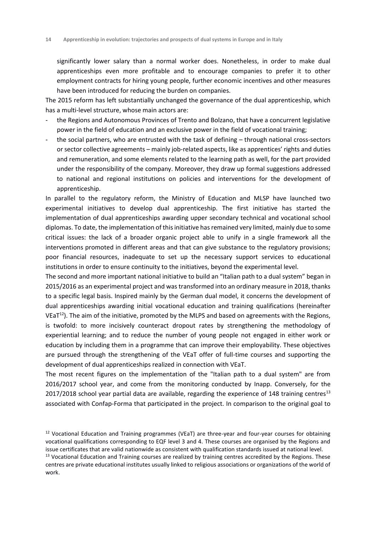significantly lower salary than a normal worker does. Nonetheless, in order to make dual apprenticeships even more profitable and to encourage companies to prefer it to other employment contracts for hiring young people, further economic incentives and other measures have been introduced for reducing the burden on companies.

The 2015 reform has left substantially unchanged the governance of the dual apprenticeship, which has a multi-level structure, whose main actors are:

- the Regions and Autonomous Provinces of Trento and Bolzano, that have a concurrent legislative power in the field of education and an exclusive power in the field of vocational training;
- the social partners, who are entrusted with the task of defining through national cross-sectors or sector collective agreements – mainly job-related aspects, like as apprentices' rights and duties and remuneration, and some elements related to the learning path as well, for the part provided under the responsibility of the company. Moreover, they draw up formal suggestions addressed to national and regional institutions on policies and interventions for the development of apprenticeship.

In parallel to the regulatory reform, the Ministry of Education and MLSP have launched two experimental initiatives to develop dual apprenticeship. The first initiative has started the implementation of dual apprenticeships awarding upper secondary technical and vocational school diplomas. To date, the implementation of this initiative has remained very limited, mainly due to some critical issues: the lack of a broader organic project able to unify in a single framework all the interventions promoted in different areas and that can give substance to the regulatory provisions; poor financial resources, inadequate to set up the necessary support services to educational institutions in order to ensure continuity to the initiatives, beyond the experimental level.

The second and more important national initiative to build an "Italian path to a dual system" began in 2015/2016 as an experimental project and was transformed into an ordinary measure in 2018, thanks to a specific legal basis. Inspired mainly by the German dual model, it concerns the development of dual apprenticeships awarding initial vocational education and training qualifications (hereinafter VEaT<sup>12</sup>). The aim of the initiative, promoted by the MLPS and based on agreements with the Regions, is twofold: to more incisively counteract dropout rates by strengthening the methodology of experiential learning; and to reduce the number of young people not engaged in either work or education by including them in a programme that can improve their employability. These objectives are pursued through the strengthening of the VEaT offer of full-time courses and supporting the development of dual apprenticeships realized in connection with VEaT.

The most recent figures on the implementation of the "Italian path to a dual system" are from 2016/2017 school year, and come from the monitoring conducted by Inapp. Conversely, for the 2017/2018 school year partial data are available, regarding the experience of 148 training centres<sup>13</sup> associated with Confap-Forma that participated in the project. In comparison to the original goal to

 $12$  Vocational Education and Training programmes (VEaT) are three-year and four-year courses for obtaining vocational qualifications corresponding to EQF level 3 and 4. These courses are organised by the Regions and issue certificates that are valid nationwide as consistent with qualification standards issued at national level. <sup>13</sup> Vocational Education and Training courses are realized by training centres accredited by the Regions. These

centres are private educational institutes usually linked to religious associations or organizations of the world of work.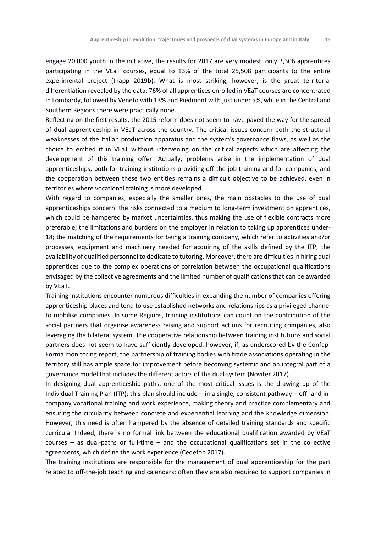engage 20,000 youth in the initiative, the results for 2017 are very modest: only 3,306 apprentices participating in the VEaT courses, equal to 13% of the total 25,508 participants to the entire experimental project (Inapp 2019b). What is most striking, however, is the great territorial differentiation revealed by the data: 76% of all apprentices enrolled in VEaT courses are concentrated in Lombardy, followed by Veneto with 13% and Piedmont with just under 5%, while in the Central and Southern Regions there were practically none.

Reflecting on the first results, the 2015 reform does not seem to have paved the way for the spread of dual apprenticeship in VEaT across the country. The critical issues concern both the structural weaknesses of the Italian production apparatus and the system's governance flaws, as well as the choice to embed it in VEaT without intervening on the critical aspects which are affecting the development of this training offer. Actually, problems arise in the implementation of dual apprenticeships, both for training institutions providing off-the-job training and for companies, and the cooperation between these two entities remains a difficult objective to be achieved, even in territories where vocational training is more developed.

With regard to companies, especially the smaller ones, the main obstacles to the use of dual apprenticeships concern: the risks connected to a medium to long-term investment on apprentices, which could be hampered by market uncertainties, thus making the use of flexible contracts more preferable; the limitations and burdens on the employer in relation to taking up apprentices under-18; the matching of the requirements for being a training company, which refer to activities and/or processes, equipment and machinery needed for acquiring of the skills defined by the ITP; the availability of qualified personnel to dedicate to tutoring. Moreover, there are difficulties in hiring dual apprentices due to the complex operations of correlation between the occupational qualifications envisaged by the collective agreements and the limited number of qualifications that can be awarded by VEaT.

Training institutions encounter numerous difficulties in expanding the number of companies offering apprenticeship places and tend to use established networks and relationships as a privileged channel to mobilise companies. In some Regions, training institutions can count on the contribution of the social partners that organise awareness raising and support actions for recruiting companies, also leveraging the bilateral system. The cooperative relationship between training institutions and social partners does not seem to have sufficiently developed, however, if, as underscored by the Confap-Forma monitoring report, the partnership of training bodies with trade associations operating in the territory still has ample space for improvement before becoming systemic and an integral part of a governance model that includes the different actors of the dual system (Noviter 2017).

In designing dual apprenticeship paths, one of the most critical issues is the drawing up of the Individual Training Plan (ITP); this plan should include – in a single, consistent pathway – off- and incompany vocational training and work experience, making theory and practice complementary and ensuring the circularity between concrete and experiential learning and the knowledge dimension. However, this need is often hampered by the absence of detailed training standards and specific curricula. Indeed, there is no formal link between the educational qualification awarded by VEaT courses – as dual-paths or full-time – and the occupational qualifications set in the collective agreements, which define the work experience (Cedefop 2017).

The training institutions are responsible for the management of dual apprenticeship for the part related to off-the-job teaching and calendars; often they are also required to support companies in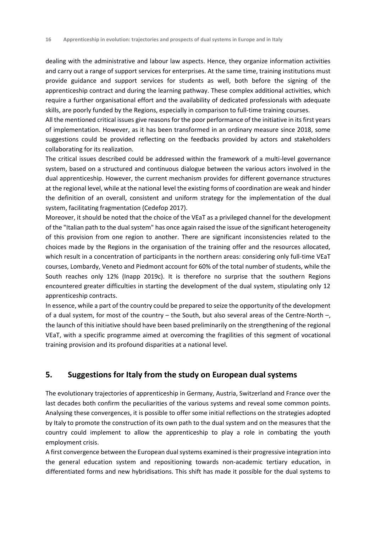dealing with the administrative and labour law aspects. Hence, they organize information activities and carry out a range of support services for enterprises. At the same time, training institutions must provide guidance and support services for students as well, both before the signing of the apprenticeship contract and during the learning pathway. These complex additional activities, which require a further organisational effort and the availability of dedicated professionals with adequate skills, are poorly funded by the Regions, especially in comparison to full-time training courses.

All the mentioned critical issues give reasons for the poor performance of the initiative in its first years of implementation. However, as it has been transformed in an ordinary measure since 2018, some suggestions could be provided reflecting on the feedbacks provided by actors and stakeholders collaborating for its realization.

The critical issues described could be addressed within the framework of a multi-level governance system, based on a structured and continuous dialogue between the various actors involved in the dual apprenticeship. However, the current mechanism provides for different governance structures at the regional level, while at the national level the existing forms of coordination are weak and hinder the definition of an overall, consistent and uniform strategy for the implementation of the dual system, facilitating fragmentation (Cedefop 2017).

Moreover, it should be noted that the choice of the VEaT as a privileged channel for the development of the "Italian path to the dual system" has once again raised the issue of the significant heterogeneity of this provision from one region to another. There are significant inconsistencies related to the choices made by the Regions in the organisation of the training offer and the resources allocated, which result in a concentration of participants in the northern areas: considering only full-time VEaT courses, Lombardy, Veneto and Piedmont account for 60% of the total number of students, while the South reaches only 12% (Inapp 2019c). It is therefore no surprise that the southern Regions encountered greater difficulties in starting the development of the dual system, stipulating only 12 apprenticeship contracts.

In essence, while a part of the country could be prepared to seize the opportunity of the development of a dual system, for most of the country – the South, but also several areas of the Centre-North –, the launch of this initiative should have been based preliminarily on the strengthening of the regional VEaT, with a specific programme aimed at overcoming the fragilities of this segment of vocational training provision and its profound disparities at a national level.

#### **5. Suggestions for Italy from the study on European dual systems**

The evolutionary trajectories of apprenticeship in Germany, Austria, Switzerland and France over the last decades both confirm the peculiarities of the various systems and reveal some common points. Analysing these convergences, it is possible to offer some initial reflections on the strategies adopted by Italy to promote the construction of its own path to the dual system and on the measures that the country could implement to allow the apprenticeship to play a role in combating the youth employment crisis.

A first convergence between the European dual systems examined is their progressive integration into the general education system and repositioning towards non-academic tertiary education, in differentiated forms and new hybridisations. This shift has made it possible for the dual systems to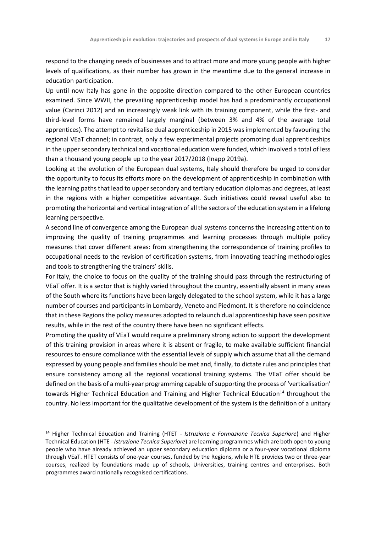respond to the changing needs of businesses and to attract more and more young people with higher levels of qualifications, as their number has grown in the meantime due to the general increase in education participation.

Up until now Italy has gone in the opposite direction compared to the other European countries examined. Since WWII, the prevailing apprenticeship model has had a predominantly occupational value (Carinci 2012) and an increasingly weak link with its training component, while the first- and third-level forms have remained largely marginal (between 3% and 4% of the average total apprentices). The attempt to revitalise dual apprenticeship in 2015 was implemented by favouring the regional VEaT channel; in contrast, only a few experimental projects promoting dual apprenticeships in the upper secondary technical and vocational education were funded, which involved a total of less than a thousand young people up to the year 2017/2018 (Inapp 2019a).

Looking at the evolution of the European dual systems, Italy should therefore be urged to consider the opportunity to focus its efforts more on the development of apprenticeship in combination with the learning paths that lead to upper secondary and tertiary education diplomas and degrees, at least in the regions with a higher competitive advantage. Such initiatives could reveal useful also to promoting the horizontal and vertical integration of all the sectors of the education system in a lifelong learning perspective.

A second line of convergence among the European dual systems concerns the increasing attention to improving the quality of training programmes and learning processes through multiple policy measures that cover different areas: from strengthening the correspondence of training profiles to occupational needs to the revision of certification systems, from innovating teaching methodologies and tools to strengthening the trainers' skills.

For Italy, the choice to focus on the quality of the training should pass through the restructuring of VEaT offer. It is a sector that is highly varied throughout the country, essentially absent in many areas of the South where its functions have been largely delegated to the school system, while it has a large number of courses and participants in Lombardy, Veneto and Piedmont. It is therefore no coincidence that in these Regions the policy measures adopted to relaunch dual apprenticeship have seen positive results, while in the rest of the country there have been no significant effects.

Promoting the quality of VEaT would require a preliminary strong action to support the development of this training provision in areas where it is absent or fragile, to make available sufficient financial resources to ensure compliance with the essential levels of supply which assume that all the demand expressed by young people and families should be met and, finally, to dictate rules and principles that ensure consistency among all the regional vocational training systems. The VEaT offer should be defined on the basis of a multi-year programming capable of supporting the process of 'verticalisation' towards Higher Technical Education and Training and Higher Technical Education<sup>14</sup> throughout the country. No less important for the qualitative development of the system is the definition of a unitary

<sup>14</sup> Higher Technical Education and Training (HTET - *Istruzione e Formazione Tecnica Superiore*) and Higher Technical Education (HTE - *Istruzione Tecnica Superiore*) are learning programmes which are both open to young people who have already achieved an upper secondary education diploma or a four-year vocational diploma through VEaT. HTET consists of one-year courses, funded by the Regions, while HTE provides two or three-year courses, realized by foundations made up of schools, Universities, training centres and enterprises. Both programmes award nationally recognised certifications.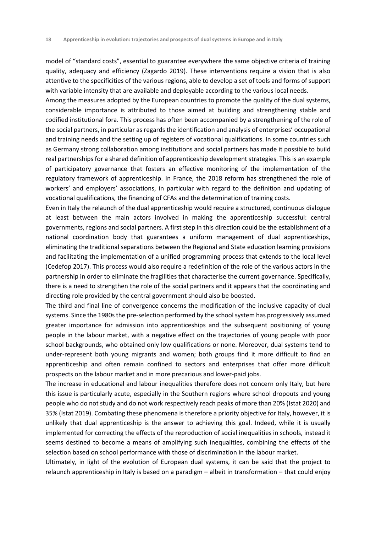model of "standard costs", essential to guarantee everywhere the same objective criteria of training quality, adequacy and efficiency (Zagardo 2019). These interventions require a vision that is also attentive to the specificities of the various regions, able to develop a set of tools and forms of support with variable intensity that are available and deployable according to the various local needs.

Among the measures adopted by the European countries to promote the quality of the dual systems, considerable importance is attributed to those aimed at building and strengthening stable and codified institutional fora. This process has often been accompanied by a strengthening of the role of the social partners, in particular as regards the identification and analysis of enterprises' occupational and training needs and the setting up of registers of vocational qualifications. In some countries such as Germany strong collaboration among institutions and social partners has made it possible to build real partnerships for a shared definition of apprenticeship development strategies. This is an example of participatory governance that fosters an effective monitoring of the implementation of the regulatory framework of apprenticeship. In France, the 2018 reform has strengthened the role of workers' and employers' associations, in particular with regard to the definition and updating of vocational qualifications, the financing of CFAs and the determination of training costs.

Even in Italy the relaunch of the dual apprenticeship would require a structured, continuous dialogue at least between the main actors involved in making the apprenticeship successful: central governments, regions and social partners. A first step in this direction could be the establishment of a national coordination body that guarantees a uniform management of dual apprenticeships, eliminating the traditional separations between the Regional and State education learning provisions and facilitating the implementation of a unified programming process that extends to the local level (Cedefop 2017). This process would also require a redefinition of the role of the various actors in the partnership in order to eliminate the fragilities that characterise the current governance. Specifically, there is a need to strengthen the role of the social partners and it appears that the coordinating and directing role provided by the central government should also be boosted.

The third and final line of convergence concerns the modification of the inclusive capacity of dual systems. Since the 1980s the pre-selection performed by the school system has progressively assumed greater importance for admission into apprenticeships and the subsequent positioning of young people in the labour market, with a negative effect on the trajectories of young people with poor school backgrounds, who obtained only low qualifications or none. Moreover, dual systems tend to under-represent both young migrants and women; both groups find it more difficult to find an apprenticeship and often remain confined to sectors and enterprises that offer more difficult prospects on the labour market and in more precarious and lower-paid jobs.

The increase in educational and labour inequalities therefore does not concern only Italy, but here this issue is particularly acute, especially in the Southern regions where school dropouts and young people who do not study and do not work respectively reach peaks of more than 20% (Istat 2020) and 35% (Istat 2019). Combating these phenomena is therefore a priority objective for Italy, however, it is unlikely that dual apprenticeship is the answer to achieving this goal. Indeed, while it is usually implemented for correcting the effects of the reproduction of social inequalities in schools, instead it seems destined to become a means of amplifying such inequalities, combining the effects of the selection based on school performance with those of discrimination in the labour market.

Ultimately, in light of the evolution of European dual systems, it can be said that the project to relaunch apprenticeship in Italy is based on a paradigm – albeit in transformation – that could enjoy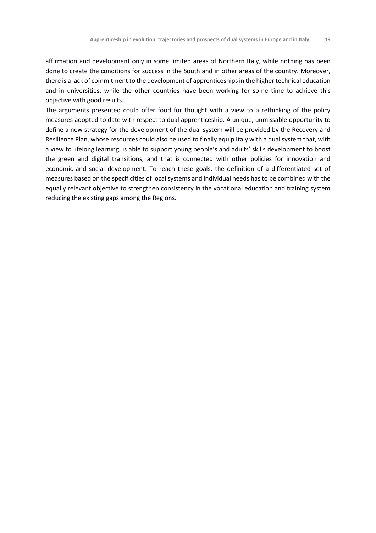affirmation and development only in some limited areas of Northern Italy, while nothing has been done to create the conditions for success in the South and in other areas of the country. Moreover, there is a lack of commitment to the development of apprenticeships in the higher technical education and in universities, while the other countries have been working for some time to achieve this objective with good results.

The arguments presented could offer food for thought with a view to a rethinking of the policy measures adopted to date with respect to dual apprenticeship. A unique, unmissable opportunity to define a new strategy for the development of the dual system will be provided by the Recovery and Resilience Plan, whose resources could also be used to finally equip Italy with a dual system that, with a view to lifelong learning, is able to support young people's and adults' skills development to boost the green and digital transitions, and that is connected with other policies for innovation and economic and social development. To reach these goals, the definition of a differentiated set of measures based on the specificities of local systems and individual needs has to be combined with the equally relevant objective to strengthen consistency in the vocational education and training system reducing the existing gaps among the Regions.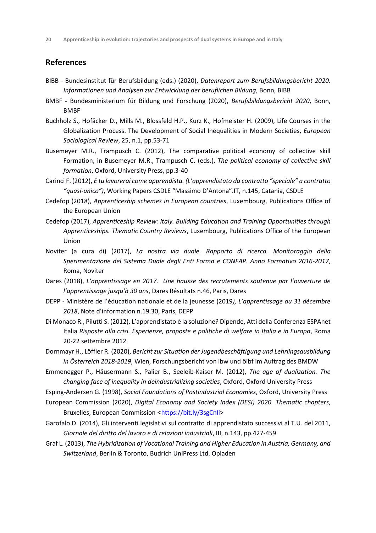#### **References**

- BIBB Bundesinstitut für Berufsbildung (eds.) (2020), *Datenreport zum Berufsbildungsbericht 2020. Informationen und Analysen zur Entwicklung der beruflichen Bildung*, Bonn, BIBB
- BMBF Bundesministerium für Bildung und Forschung (2020), *Berufsbildungsbericht 2020*, Bonn, BMBF
- Buchholz S., Hofäcker D., Mills M., Blossfeld H.P., Kurz K., Hofmeister H. (2009), Life Courses in the Globalization Process. The Development of Social Inequalities in Modern Societies, *European Sociological Review*, 25, n.1, pp.53-71
- Busemeyer M.R., Trampusch C. (2012), The comparative political economy of collective skill Formation, in Busemeyer M.R., Trampusch C. (eds.), *The political economy of collective skill formation*, Oxford, University Press, pp.3-40
- Carinci F. (2012), *E tu lavorerai come apprendista. (L'apprendistato da contratto "speciale" a contratto "quasi-unico")*, Working Papers CSDLE "Massimo D'Antona".IT, n.145, Catania, CSDLE
- Cedefop (2018), *Apprenticeship schemes in European countries*, Luxembourg, Publications Office of the European Union
- Cedefop (2017), *Apprenticeship Review: Italy. Building Education and Training Opportunities through Apprenticeships. Thematic Country Reviews*, Luxembourg, Publications Office of the European Union
- Noviter (a cura di) (2017), *La nostra via duale. Rapporto di ricerca. Monitoraggio della Sperimentazione del Sistema Duale degli Enti Forma e CONFAP. Anno Formativo 2016-2017*, Roma, Noviter
- Dares (2018), *L'apprentissage en 2017. Une hausse des recrutements soutenue par l'ouverture de l'apprentissage jusqu'à 30 ans*, Dares Résultats n.46, Paris, Dares
- DEPP Ministère de l'éducation nationale et de la jeunesse (2019*), L'apprentissage au 31 décembre 2018*, Note d'information n.19.30, Paris, DEPP
- Di Monaco R., Pilutti S. (2012), L'apprendistato è la soluzione? Dipende, Atti della Conferenza ESPAnet Italia *Risposte alla crisi. Esperienze, proposte e politiche di welfare in Italia e in Europa*, Roma 20-22 settembre 2012
- Dornmayr H., Löffler R. (2020), *Bericht zur Situation der Jugendbeschäftigung und Lehrlingsausbildung in Österreich 2018-2019*, Wien, Forschungsbericht von ibw und öibf im Auftrag des BMDW
- Emmenegger P., Häusermann S., Palier B., Seeleib-Kaiser M. (2012), *The age of dualization. The changing face of inequality in deindustrializing societies*, Oxford, Oxford University Press
- Esping-Andersen G. (1998), *Social Foundations of Postindustrial Economies*, Oxford, University Press
- European Commission (2020), *Digital Economy and Society Index (DESI) 2020. Thematic chapters*, Bruxelles, European Commission <https://bit.ly/3sgCnli>
- Garofalo D. (2014), Gli interventi legislativi sul contratto di apprendistato successivi al T.U. del 2011, *Giornale del diritto del lavoro e di relazioni industriali*, III, n.143, pp.427-459
- Graf L. (2013), *The Hybridization of Vocational Training and Higher Education in Austria, Germany, and Switzerland*, Berlin & Toronto, Budrich UniPress Ltd. Opladen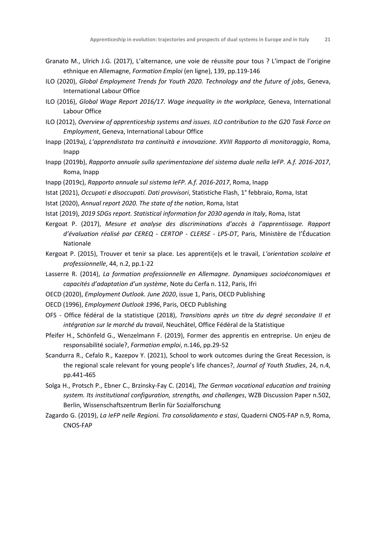- Granato M., Ulrich J.G. (2017), L'alternance, une voie de réussite pour tous ? L'impact de l'origine ethnique en Allemagne, *Formation Emploi* (en ligne), 139, pp.119-146
- ILO (2020), *Global Employment Trends for Youth 2020. Technology and the future of jobs*, Geneva, International Labour Office
- ILO (2016), *Global Wage Report 2016/17. Wage inequality in the workplace,* Geneva, International Labour Office
- ILO (2012), *Overview of apprenticeship systems and issues. ILO contribution to the G20 Task Force on Employment*, Geneva, International Labour Office
- Inapp (2019a), *L'apprendistato tra continuità e innovazione. XVIII Rapporto di monitoraggio*, Roma, Inapp
- Inapp (2019b), *Rapporto annuale sulla sperimentazione del sistema duale nella IeFP. A.f. 2016-2017*, Roma, Inapp
- Inapp (2019c), *Rapporto annuale sul sistema IeFP. A.f. 2016-2017*, Roma, Inapp
- Istat (2021), *Occupati e disoccupati. Dati provvisori*, Statistiche Flash, 1° febbraio, Roma, Istat
- Istat (2020), *Annual report 2020. The state of the nation*, Roma, Istat
- Istat (2019), *2019 SDGs report. Statistical information for 2030 agenda in Italy*, Roma, Istat
- Kergoat P. (2017), *Mesure et analyse des discriminations d'accès à l'apprentissage. Rapport d'évaluation réalisé par CEREQ - CERTOP - CLERSE - LPS-DT*, Paris, Ministère de l'Éducation Nationale
- Kergoat P. (2015), Trouver et tenir sa place. Les apprenti(e)s et le travail, *L'orientation scolaire et professionnelle*, 44, n.2, pp.1-22
- Lasserre R. (2014), *La formation professionnelle en Allemagne. Dynamiques socioéconomiques et capacités d'adaptation d'un système*, Note du Cerfa n. 112, Paris, Ifri
- OECD (2020), *Employment Outlook. June 2020*, issue 1, Paris, OECD Publishing
- OECD (1996), *Employment Outlook 1996*, Paris, OECD Publishing
- OFS Office fédéral de la statistique (2018), *Transitions après un titre du degré secondaire II et intégration sur le marché du travail*, Neuchâtel, Office Fédéral de la Statistique
- Pfeifer H., Schönfeld G., Wenzelmann F. (2019), Former des apprentis en entreprise. Un enjeu de responsabilité sociale?, *Formation emploi*, n.146, pp.29-52
- Scandurra R., Cefalo R., Kazepov Y. (2021), School to work outcomes during the Great Recession, is the regional scale relevant for young people's life chances?, *Journal of Youth Studies*, 24, n.4, pp.441-465
- Solga H., Protsch P., Ebner C., Brzinsky-Fay C. (2014), *The German vocational education and training system. Its institutional configuration, strengths, and challenges*, WZB Discussion Paper n.502, Berlin, Wissenschaftszentrum Berlin für Sozialforschung
- Zagardo G. (2019), *La IeFP nelle Regioni. Tra consolidamento e stasi*, Quaderni CNOS-FAP n.9, Roma, CNOS-FAP